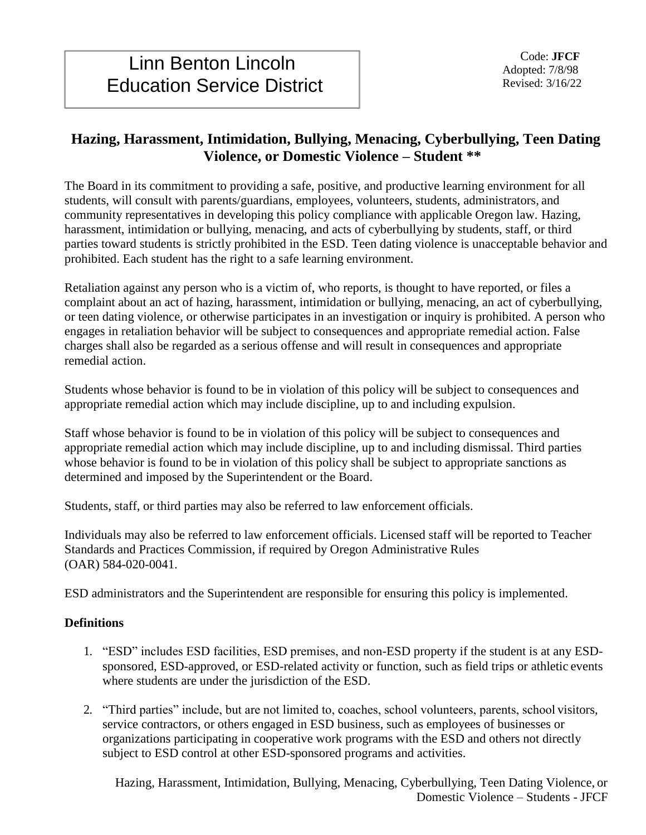# **Hazing, Harassment, Intimidation, Bullying, Menacing, Cyberbullying, Teen Dating Violence, or Domestic Violence – Student \*\***

The Board in its commitment to providing a safe, positive, and productive learning environment for all students, will consult with parents/guardians, employees, volunteers, students, administrators, and community representatives in developing this policy compliance with applicable Oregon law. Hazing, harassment, intimidation or bullying, menacing, and acts of cyberbullying by students, staff, or third parties toward students is strictly prohibited in the ESD. Teen dating violence is unacceptable behavior and prohibited. Each student has the right to a safe learning environment.

Retaliation against any person who is a victim of, who reports, is thought to have reported, or files a complaint about an act of hazing, harassment, intimidation or bullying, menacing, an act of cyberbullying, or teen dating violence, or otherwise participates in an investigation or inquiry is prohibited. A person who engages in retaliation behavior will be subject to consequences and appropriate remedial action. False charges shall also be regarded as a serious offense and will result in consequences and appropriate remedial action.

Students whose behavior is found to be in violation of this policy will be subject to consequences and appropriate remedial action which may include discipline, up to and including expulsion.

Staff whose behavior is found to be in violation of this policy will be subject to consequences and appropriate remedial action which may include discipline, up to and including dismissal. Third parties whose behavior is found to be in violation of this policy shall be subject to appropriate sanctions as determined and imposed by the Superintendent or the Board.

Students, staff, or third parties may also be referred to law enforcement officials.

Individuals may also be referred to law enforcement officials. Licensed staff will be reported to Teacher Standards and Practices Commission, if required by Oregon Administrative Rules (OAR) 584-020-0041.

ESD administrators and the Superintendent are responsible for ensuring this policy is implemented.

## **Definitions**

- 1. "ESD" includes ESD facilities, ESD premises, and non-ESD property if the student is at any ESDsponsored, ESD-approved, or ESD-related activity or function, such as field trips or athletic events where students are under the jurisdiction of the ESD.
- 2. "Third parties" include, but are not limited to, coaches, school volunteers, parents, school visitors, service contractors, or others engaged in ESD business, such as employees of businesses or organizations participating in cooperative work programs with the ESD and others not directly subject to ESD control at other ESD-sponsored programs and activities.

Hazing, Harassment, Intimidation, Bullying, Menacing, Cyberbullying, Teen Dating Violence, or Domestic Violence – Students - JFCF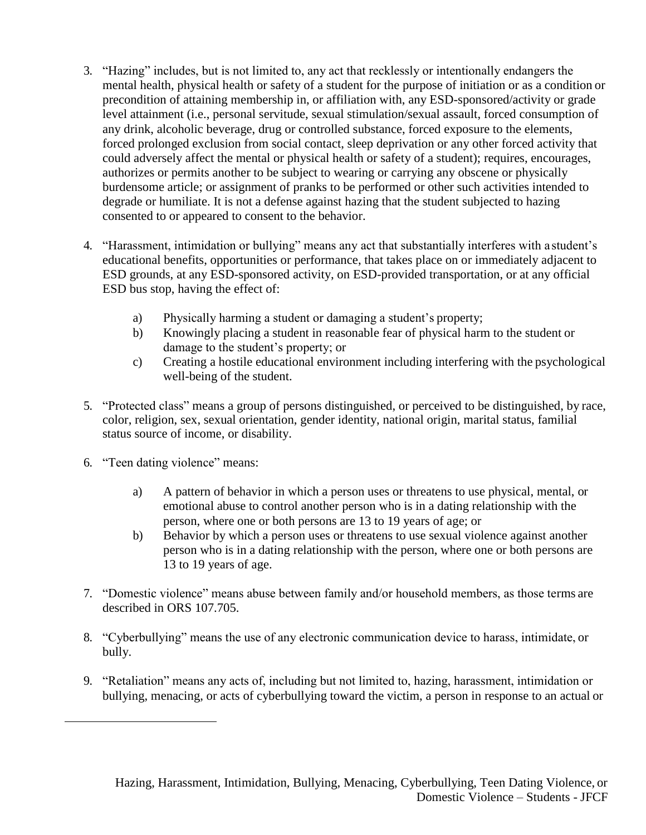- 3. "Hazing" includes, but is not limited to, any act that recklessly or intentionally endangers the mental health, physical health or safety of a student for the purpose of initiation or as a condition or precondition of attaining membership in, or affiliation with, any ESD-sponsored/activity or grade level attainment (i.e., personal servitude, sexual stimulation/sexual assault, forced consumption of any drink, alcoholic beverage, drug or controlled substance, forced exposure to the elements, forced prolonged exclusion from social contact, sleep deprivation or any other forced activity that could adversely affect the mental or physical health or safety of a student); requires, encourages, authorizes or permits another to be subject to wearing or carrying any obscene or physically burdensome article; or assignment of pranks to be performed or other such activities intended to degrade or humiliate. It is not a defense against hazing that the student subjected to hazing consented to or appeared to consent to the behavior.
- 4. "Harassment, intimidation or bullying" means any act that substantially interferes with a student's educational benefits, opportunities or performance, that takes place on or immediately adjacent to ESD grounds, at any ESD-sponsored activity, on ESD-provided transportation, or at any official ESD bus stop, having the effect of:
	- a) Physically harming a student or damaging a student's property;
	- b) Knowingly placing a student in reasonable fear of physical harm to the student or damage to the student's property; or
	- c) Creating a hostile educational environment including interfering with the psychological well-being of the student.
- 5. "Protected class" means a group of persons distinguished, or perceived to be distinguished, by race, color, religion, sex, sexual orientation, gender identity, national origin, marital status, familial status source of income, or disability.
- 6. "Teen dating violence" means:
	- a) A pattern of behavior in which a person uses or threatens to use physical, mental, or emotional abuse to control another person who is in a dating relationship with the person, where one or both persons are 13 to 19 years of age; or
	- b) Behavior by which a person uses or threatens to use sexual violence against another person who is in a dating relationship with the person, where one or both persons are 13 to 19 years of age.
- 7. "Domestic violence" means abuse between family and/or household members, as those terms are described in ORS 107.705.
- 8. "Cyberbullying" means the use of any electronic communication device to harass, intimidate, or bully.
- 9. "Retaliation" means any acts of, including but not limited to, hazing, harassment, intimidation or bullying, menacing, or acts of cyberbullying toward the victim, a person in response to an actual or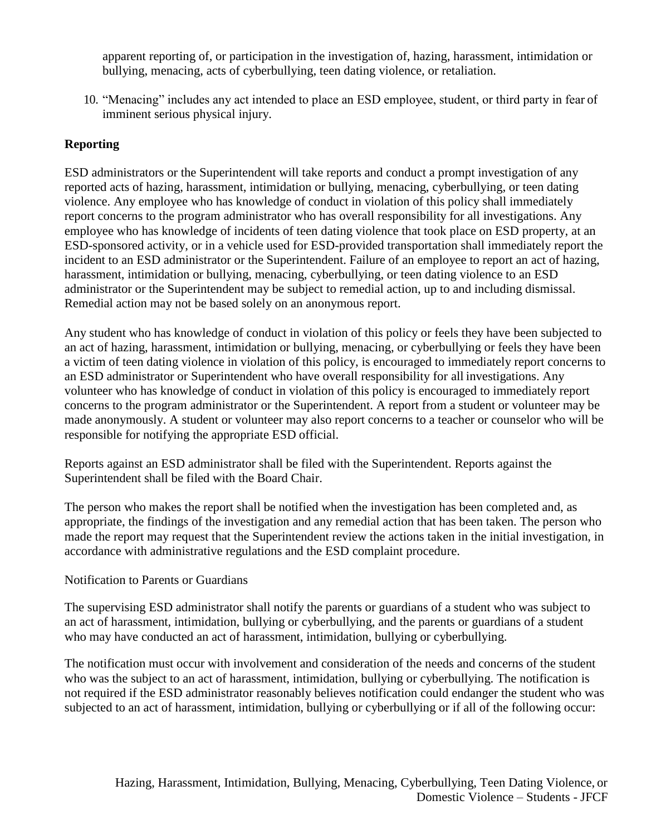apparent reporting of, or participation in the investigation of, hazing, harassment, intimidation or bullying, menacing, acts of cyberbullying, teen dating violence, or retaliation.

10. "Menacing" includes any act intended to place an ESD employee, student, or third party in fear of imminent serious physical injury.

## **Reporting**

ESD administrators or the Superintendent will take reports and conduct a prompt investigation of any reported acts of hazing, harassment, intimidation or bullying, menacing, cyberbullying, or teen dating violence. Any employee who has knowledge of conduct in violation of this policy shall immediately report concerns to the program administrator who has overall responsibility for all investigations. Any employee who has knowledge of incidents of teen dating violence that took place on ESD property, at an ESD-sponsored activity, or in a vehicle used for ESD-provided transportation shall immediately report the incident to an ESD administrator or the Superintendent. Failure of an employee to report an act of hazing, harassment, intimidation or bullying, menacing, cyberbullying, or teen dating violence to an ESD administrator or the Superintendent may be subject to remedial action, up to and including dismissal. Remedial action may not be based solely on an anonymous report.

Any student who has knowledge of conduct in violation of this policy or feels they have been subjected to an act of hazing, harassment, intimidation or bullying, menacing, or cyberbullying or feels they have been a victim of teen dating violence in violation of this policy, is encouraged to immediately report concerns to an ESD administrator or Superintendent who have overall responsibility for all investigations. Any volunteer who has knowledge of conduct in violation of this policy is encouraged to immediately report concerns to the program administrator or the Superintendent. A report from a student or volunteer may be made anonymously. A student or volunteer may also report concerns to a teacher or counselor who will be responsible for notifying the appropriate ESD official.

Reports against an ESD administrator shall be filed with the Superintendent. Reports against the Superintendent shall be filed with the Board Chair.

The person who makes the report shall be notified when the investigation has been completed and, as appropriate, the findings of the investigation and any remedial action that has been taken. The person who made the report may request that the Superintendent review the actions taken in the initial investigation, in accordance with administrative regulations and the ESD complaint procedure.

### Notification to Parents or Guardians

The supervising ESD administrator shall notify the parents or guardians of a student who was subject to an act of harassment, intimidation, bullying or cyberbullying, and the parents or guardians of a student who may have conducted an act of harassment, intimidation, bullying or cyberbullying.

The notification must occur with involvement and consideration of the needs and concerns of the student who was the subject to an act of harassment, intimidation, bullying or cyberbullying. The notification is not required if the ESD administrator reasonably believes notification could endanger the student who was subjected to an act of harassment, intimidation, bullying or cyberbullying or if all of the following occur: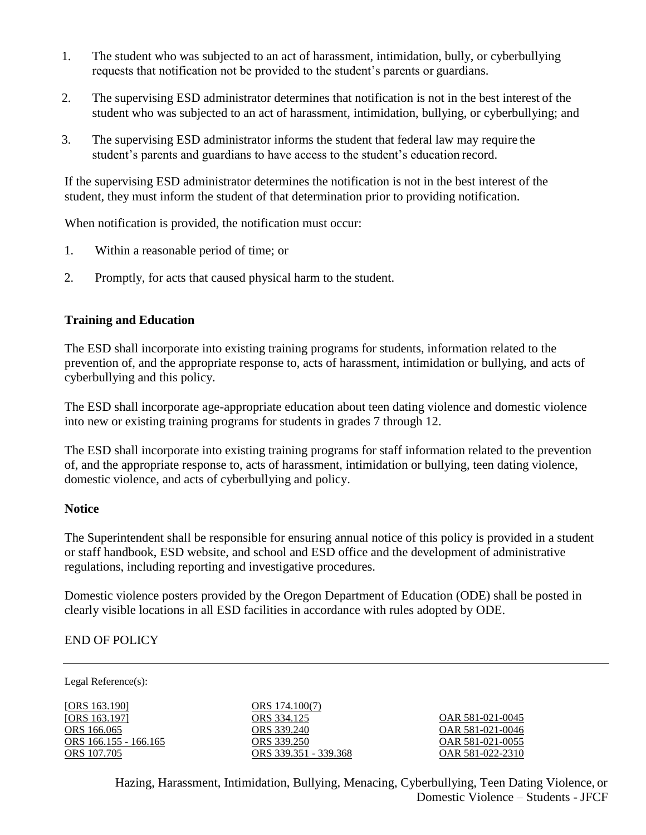- 1. The student who was subjected to an act of harassment, intimidation, bully, or cyberbullying requests that notification not be provided to the student's parents or guardians.
- 2. The supervising ESD administrator determines that notification is not in the best interest of the student who was subjected to an act of harassment, intimidation, bullying, or cyberbullying; and
- 3. The supervising ESD administrator informs the student that federal law may require the student's parents and guardians to have access to the student's education record.

If the supervising ESD administrator determines the notification is not in the best interest of the student, they must inform the student of that determination prior to providing notification.

When notification is provided, the notification must occur:

- 1. Within a reasonable period of time; or
- 2. Promptly, for acts that caused physical harm to the student.

#### **Training and Education**

The ESD shall incorporate into existing training programs for students, information related to the prevention of, and the appropriate response to, acts of harassment, intimidation or bullying, and acts of cyberbullying and this policy.

The ESD shall incorporate age-appropriate education about teen dating violence and domestic violence into new or existing training programs for students in grades 7 through 12.

The ESD shall incorporate into existing training programs for staff information related to the prevention of, and the appropriate response to, acts of harassment, intimidation or bullying, teen dating violence, domestic violence, and acts of cyberbullying and policy.

#### **Notice**

The Superintendent shall be responsible for ensuring annual notice of this policy is provided in a student or staff handbook, ESD website, and school and ESD office and the development of administrative regulations, including reporting and investigative procedures.

Domestic violence posters provided by the Oregon Department of Education (ODE) shall be posted in clearly visible locations in all ESD facilities in accordance with rules adopted by ODE.

### END OF POLICY

Legal Reference(s):

[\[ORS 163.1](http://policy.osba.org/orsredir.asp?ors=ors-163)90] [\[ORS 163.1](http://policy.osba.org/orsredir.asp?ors=ors-163)97]<br>ORS 166.065 [ORS 166.1](http://policy.osba.org/orsredir.asp?ors=ors-166)55 - 166.165 [ORS 339.2](http://policy.osba.org/orsredir.asp?ors=ors-339)50 ORS 339.250 [OAR 581-021-](http://policy.osba.org/orsredir.asp?ors=oar-581-021)0055<br>ORS 107.705 ORS 339.351 - 339.368 OAR 581-022-2310

[ORS 174.1](http://policy.osba.org/orsredir.asp?ors=ors-174)00(7) [ORS 334.1](http://policy.osba.org/orsredir.asp?ors=ors-334)25<br>
ORS 339.240<br> [OAR 581-021-](http://policy.osba.org/orsredir.asp?ors=oar-581-021)0046 [ORS 339.3](http://policy.osba.org/orsredir.asp?ors=ors-339)51 - 339.368

[OAR 581-021-](http://policy.osba.org/orsredir.asp?ors=oar-581-021)0046

Hazing, Harassment, Intimidation, Bullying, Menacing, Cyberbullying, Teen Dating Violence, or Domestic Violence – Students - JFCF